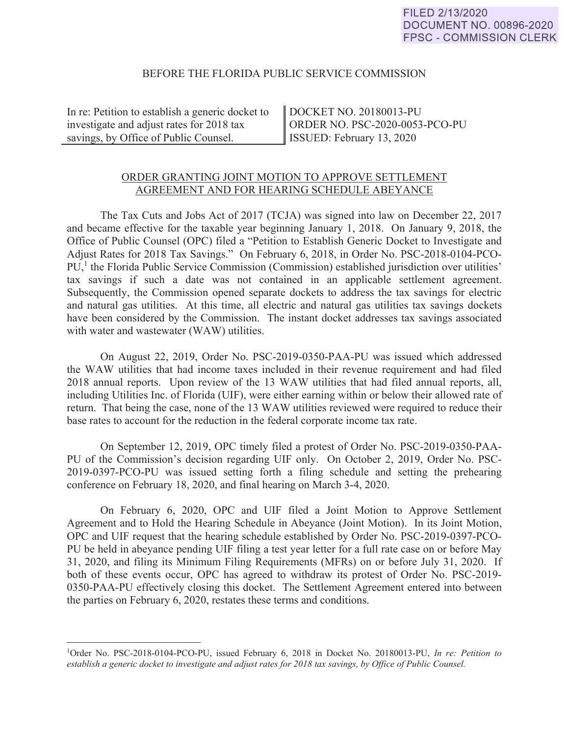## BEFORE THE FLORIDA PUBLIC SERVICE COMMISSION

In re: Petition to establish a generic docket to investigate and adjust rates for 2018 tax savings, by Office of Public Counsel.

 $\overline{a}$ 

DOCKET NO. 20180013-PU ORDER NO. PSC-2020-0053-PCO-PU ISSUED: February 13, 2020

## ORDER GRANTING JOINT MOTION TO APPROVE SETTLEMENT AGREEMENT AND FOR HEARING SCHEDULE ABEYANCE

 The Tax Cuts and Jobs Act of 2017 (TCJA) was signed into law on December 22, 2017 and became effective for the taxable year beginning January 1, 2018. On January 9, 2018, the Office of Public Counsel (OPC) filed a "Petition to Establish Generic Docket to Investigate and Adjust Rates for 2018 Tax Savings." On February 6, 2018, in Order No. PSC-2018-0104-PCO-PU,<sup>1</sup> the Florida Public Service Commission (Commission) established jurisdiction over utilities' tax savings if such a date was not contained in an applicable settlement agreement. Subsequently, the Commission opened separate dockets to address the tax savings for electric and natural gas utilities. At this time, all electric and natural gas utilities tax savings dockets have been considered by the Commission. The instant docket addresses tax savings associated with water and wastewater (WAW) utilities.

 On August 22, 2019, Order No. PSC-2019-0350-PAA-PU was issued which addressed the WAW utilities that had income taxes included in their revenue requirement and had filed 2018 annual reports. Upon review of the 13 WAW utilities that had filed annual reports, all, including Utilities Inc. of Florida (UIF), were either earning within or below their allowed rate of return. That being the case, none of the 13 WAW utilities reviewed were required to reduce their base rates to account for the reduction in the federal corporate income tax rate.

 On September 12, 2019, OPC timely filed a protest of Order No. PSC-2019-0350-PAA-PU of the Commission's decision regarding UIF only. On October 2, 2019, Order No. PSC-2019-0397-PCO-PU was issued setting forth a filing schedule and setting the prehearing conference on February 18, 2020, and final hearing on March 3-4, 2020.

 On February 6, 2020, OPC and UIF filed a Joint Motion to Approve Settlement Agreement and to Hold the Hearing Schedule in Abeyance (Joint Motion). In its Joint Motion, OPC and UIF request that the hearing schedule established by Order No. PSC-2019-0397-PCO-PU be held in abeyance pending UIF filing a test year letter for a full rate case on or before May 31, 2020, and filing its Minimum Filing Requirements (MFRs) on or before July 31, 2020. If both of these events occur, OPC has agreed to withdraw its protest of Order No. PSC-2019- 0350-PAA-PU effectively closing this docket. The Settlement Agreement entered into between the parties on February 6, 2020, restates these terms and conditions.

<sup>1</sup> Order No. PSC-2018-0104-PCO-PU, issued February 6, 2018 in Docket No. 20180013-PU, *In re: Petition to*  establish a generic docket to investigate and adjust rates for 2018 tax savings, by Office of Public Counsel.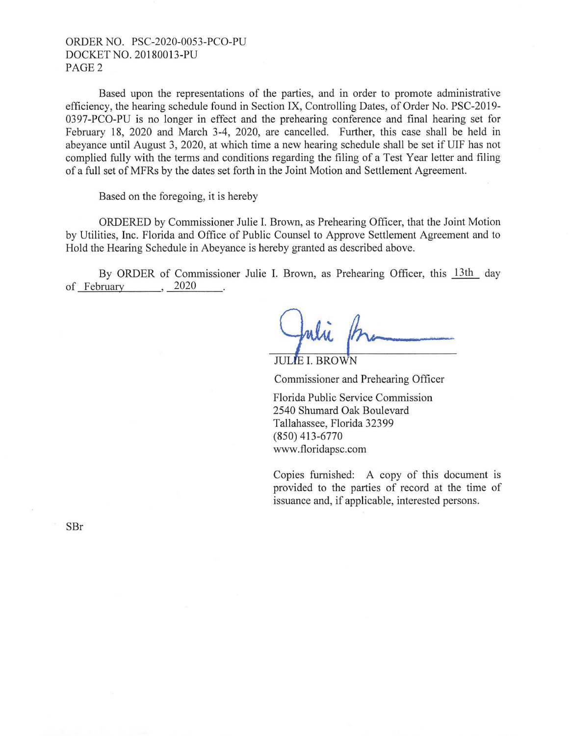## ORDER NO. PSC-2020-0053-PCO-PU DOCKET NO. 20180013-PU PAGE2

Based upon the representations of the parties, and in order to promote administrative efficiency, the hearing schedule found in Section IX, Controlling Dates, of Order No. PSC-2019- 0397-PCO-PU is no longer in effect and the prehearing conference and final hearing set for February 18, 2020 and March 3-4, 2020, are cancelled. Further, this case shall be held in abeyance until August 3, 2020, at which time a new hearing schedule shall be set if UIF has not complied fully with the terms and conditions regarding the filing of a Test Year letter and filing of a full set of MFRs by the dates set forth in the Joint Motion and Settlement Agreement.

Based on the foregoing, it is hereby

ORDERED by Commissioner Julie I. Brown, as Prehearing Officer, that the Joint Motion by Utilities, Inc. Florida and Office of Public Counsel to Approve Settlement Agreement and to Hold the Hearing Schedule in Abeyance is hereby granted as described above.

By ORDER of Commissioner Julie I. Brown, as Prehearing Officer, this 13th day February 2020 By ORDER<br>of <u>February</u>

**JULIE L BROWN** 

Commissioner and Prehearing Officer

Florida Public Service Commission 2540 Shumard Oak Boulevard Tallahassee, Florida 32399 (850) 413-6770 www.floridapsc.com

Copies furnished: A copy of this document is provided to the parties of record at the time of issuance and, if applicable, interested persons.

SBr